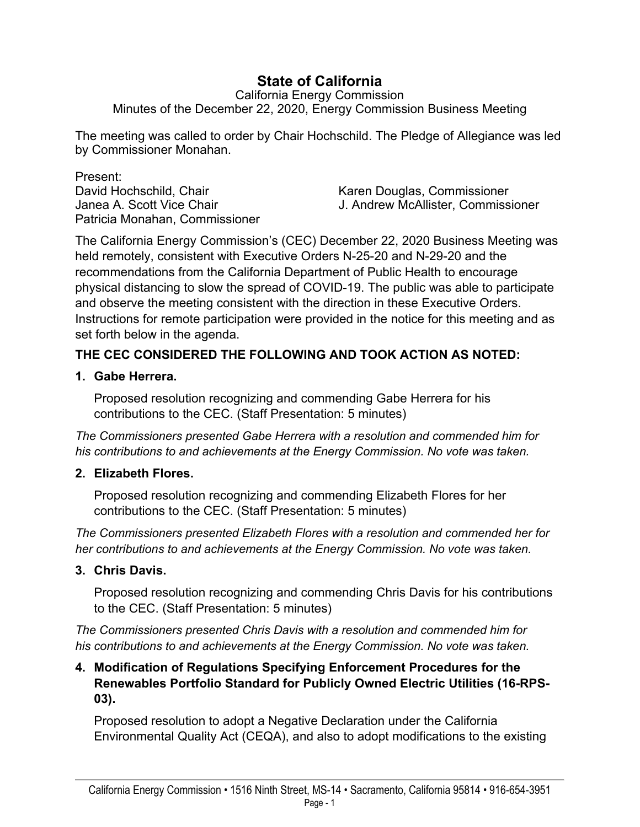# **State of California**

California Energy Commission Minutes of the December 22, 2020, Energy Commission Business Meeting

The meeting was called to order by Chair Hochschild. The Pledge of Allegiance was led by Commissioner Monahan.

Present: David Hochschild, Chair North Chair Karen Douglas, Commissioner Patricia Monahan, Commissioner

Janea A. Scott Vice Chair J. Andrew McAllister, Commissioner

The California Energy Commission's (CEC) December 22, 2020 Business Meeting was held remotely, consistent with Executive Orders N-25-20 and N-29-20 and the recommendations from the California Department of Public Health to encourage physical distancing to slow the spread of COVID-19. The public was able to participate and observe the meeting consistent with the direction in these Executive Orders. Instructions for remote participation were provided in the notice for this meeting and as set forth below in the agenda.

# **THE CEC CONSIDERED THE FOLLOWING AND TOOK ACTION AS NOTED:**

**1. Gabe Herrera.** 

Proposed resolution recognizing and commending Gabe Herrera for his contributions to the CEC. (Staff Presentation: 5 minutes)

*The Commissioners presented Gabe Herrera with a resolution and commended him for his contributions to and achievements at the Energy Commission. No vote was taken.*

# **2. Elizabeth Flores.**

Proposed resolution recognizing and commending Elizabeth Flores for her contributions to the CEC. (Staff Presentation: 5 minutes)

*The Commissioners presented Elizabeth Flores with a resolution and commended her for her contributions to and achievements at the Energy Commission. No vote was taken.*

# **3. Chris Davis.**

Proposed resolution recognizing and commending Chris Davis for his contributions to the CEC. (Staff Presentation: 5 minutes)

*The Commissioners presented Chris Davis with a resolution and commended him for his contributions to and achievements at the Energy Commission. No vote was taken.*

#### **4. Modification of Regulations Specifying Enforcement Procedures for the Renewables Portfolio Standard for Publicly Owned Electric Utilities (16-RPS-03).**

Proposed resolution to adopt a Negative Declaration under the California Environmental Quality Act (CEQA), and also to adopt modifications to the existing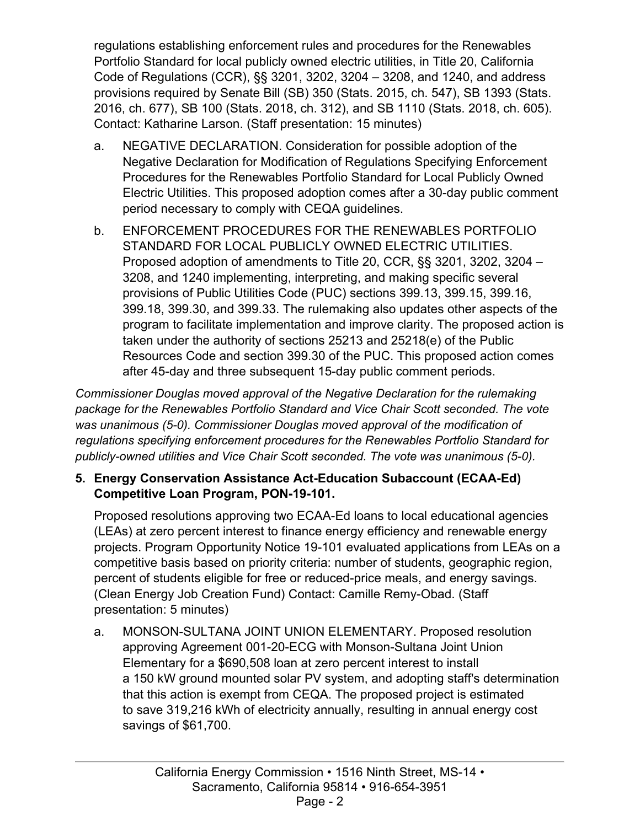regulations establishing enforcement rules and procedures for the Renewables Portfolio Standard for local publicly owned electric utilities, in Title 20, California Code of Regulations (CCR), §§ 3201, 3202, 3204 – 3208, and 1240, and address provisions required by Senate Bill (SB) 350 (Stats. 2015, ch. 547), SB 1393 (Stats. 2016, ch. 677), SB 100 (Stats. 2018, ch. 312), and SB 1110 (Stats. 2018, ch. 605). Contact: Katharine Larson. (Staff presentation: 15 minutes)

- a. NEGATIVE DECLARATION. Consideration for possible adoption of the Negative Declaration for Modification of Regulations Specifying Enforcement Procedures for the Renewables Portfolio Standard for Local Publicly Owned Electric Utilities. This proposed adoption comes after a 30-day public comment period necessary to comply with CEQA guidelines.
- b. ENFORCEMENT PROCEDURES FOR THE RENEWABLES PORTFOLIO STANDARD FOR LOCAL PUBLICLY OWNED ELECTRIC UTILITIES. Proposed adoption of amendments to Title 20, CCR, §§ 3201, 3202, 3204 – 3208, and 1240 implementing, interpreting, and making specific several provisions of Public Utilities Code (PUC) sections 399.13, 399.15, 399.16, 399.18, 399.30, and 399.33. The rulemaking also updates other aspects of the program to facilitate implementation and improve clarity. The proposed action is taken under the authority of sections 25213 and 25218(e) of the Public Resources Code and section 399.30 of the PUC. This proposed action comes after 45-day and three subsequent 15-day public comment periods.

*Commissioner Douglas moved approval of the Negative Declaration for the rulemaking package for the Renewables Portfolio Standard and Vice Chair Scott seconded. The vote was unanimous (5-0). Commissioner Douglas moved approval of the modification of regulations specifying enforcement procedures for the Renewables Portfolio Standard for publicly-owned utilities and Vice Chair Scott seconded. The vote was unanimous (5-0).* 

#### **5. Energy Conservation Assistance Act-Education Subaccount (ECAA-Ed) Competitive Loan Program, PON-19-101.**

Proposed resolutions approving two ECAA-Ed loans to local educational agencies (LEAs) at zero percent interest to finance energy efficiency and renewable energy projects. Program Opportunity Notice 19-101 evaluated applications from LEAs on a competitive basis based on priority criteria: number of students, geographic region, percent of students eligible for free or reduced-price meals, and energy savings. (Clean Energy Job Creation Fund) Contact: Camille Remy-Obad. (Staff presentation: 5 minutes)

a. MONSON-SULTANA JOINT UNION ELEMENTARY. Proposed resolution approving Agreement 001-20-ECG with Monson-Sultana Joint Union Elementary for a \$690,508 loan at zero percent interest to install a 150 kW ground mounted solar PV system, and adopting staff's determination that this action is exempt from CEQA. The proposed project is estimated to save 319,216 kWh of electricity annually, resulting in annual energy cost savings of \$61,700.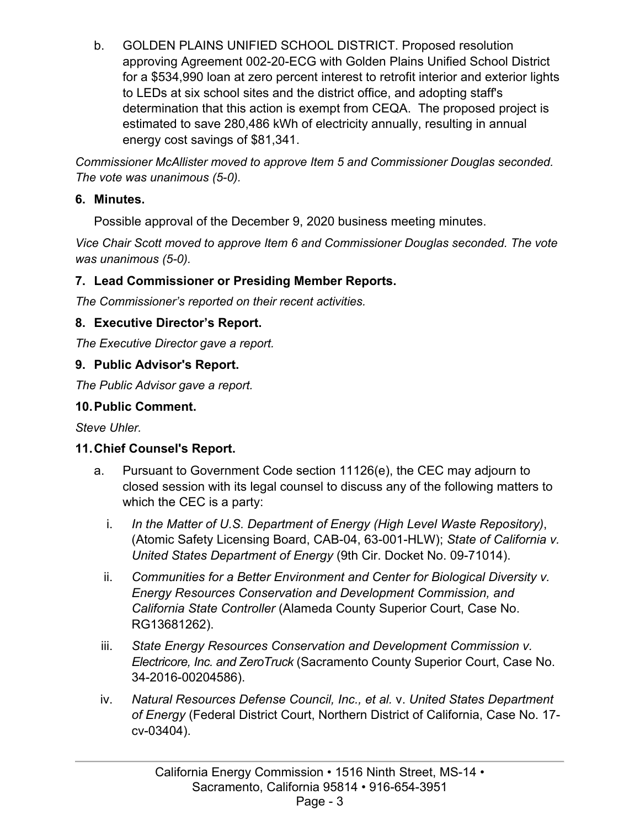b. GOLDEN PLAINS UNIFIED SCHOOL DISTRICT. Proposed resolution approving Agreement 002-20-ECG with Golden Plains Unified School District for a \$534,990 loan at zero percent interest to retrofit interior and exterior lights to LEDs at six school sites and the district office, and adopting staff's determination that this action is exempt from CEQA. The proposed project is estimated to save 280,486 kWh of electricity annually, resulting in annual energy cost savings of \$81,341.

*Commissioner McAllister moved to approve Item 5 and Commissioner Douglas seconded. The vote was unanimous (5-0).* 

#### **6. Minutes.**

Possible approval of the December 9, 2020 business meeting minutes.

*Vice Chair Scott moved to approve Item 6 and Commissioner Douglas seconded. The vote was unanimous (5-0).* 

# **7. Lead Commissioner or Presiding Member Reports.**

*The Commissioner's reported on their recent activities.* 

# **8. Executive Director's Report.**

*The Executive Director gave a report.*

# **9. Public Advisor's Report.**

*The Public Advisor gave a report.*

# **10.Public Comment.**

*Steve Uhler.*

# **11.Chief Counsel's Report.**

- a. Pursuant to Government Code section 11126(e), the CEC may adjourn to closed session with its legal counsel to discuss any of the following matters to which the CEC is a party:
	- i. *In the Matter of U.S. Department of Energy (High Level Waste Repository)*, (Atomic Safety Licensing Board, CAB-04, 63-001-HLW); *State of California v. United States Department of Energy* (9th Cir. Docket No. 09-71014).
	- ii. *Communities for a Better Environment and Center for Biological Diversity v. Energy Resources Conservation and Development Commission, and California State Controller* (Alameda County Superior Court, Case No. RG13681262).
- iii. *State Energy Resources Conservation and Development Commission v. Electricore, Inc. and ZeroTruck* (Sacramento County Superior Court, Case No. 34-2016-00204586).
- iv. *Natural Resources Defense Council, Inc., et al.* v. *United States Department of Energy* (Federal District Court, Northern District of California, Case No. 17 cv-03404).